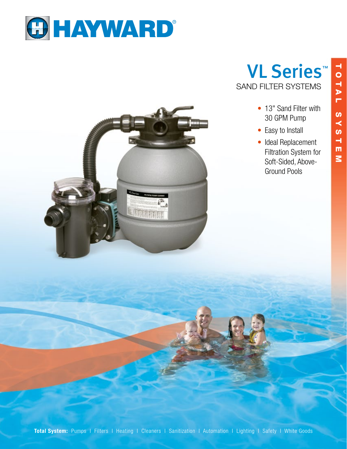



VL Series™ SAND FILTER SYSTEMS

- 13" Sand Filter with 30 GPM Pump
- Easy to Install
- Ideal Replacement Filtration System for Soft-Sided, Above-Ground Pools

Total System: Pumps I Filters I Heating I Cleaners I Sanitization I Automation I Lighting I Safety I White Goods